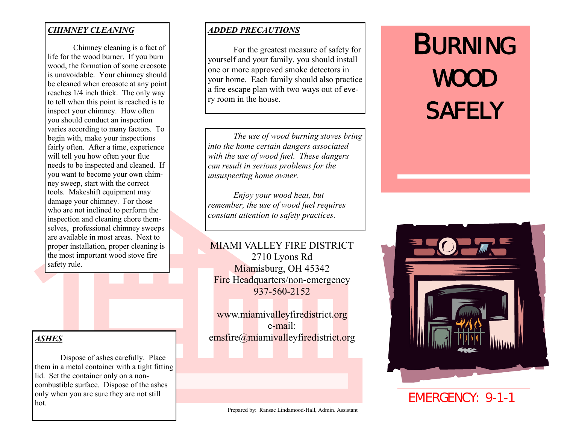#### *CHIMNEY CLEANING*

Chimney cleaning is a fact of life for the wood burner. If you burn wood, the formation of some creosote is unavoidable. Your chimney should be cleaned when creosote at any point reaches 1/4 inch thick. The only way to tell when this point is reached is to inspect your chimney. How often you should conduct an inspection varies according to many factors. To begin with, make your inspections fairly often. After a time, experience will tell you how often your flue needs to be inspected and cleaned. If you want to become your own chimney sweep, start with the correct tools. Makeshift equipment may damage your chimney. For those who are not inclined to perform the inspection and cleaning chore themselves, professional chimney sweeps are available in most areas. Next to proper installation, proper cleaning is the most important wood stove fire safety rule.

#### *ASHES*

Dispose of ashes carefully. Place them in a metal container with a tight fitting lid. Set the container only on a noncombustible surface. Dispose of the ashes only when you are sure they are not still hot.

#### *ADDED PRECAUTIONS*

For the greatest measure of safety for yourself and your family, you should install one or more approved smoke detectors in your home. Each family should also practice a fire escape plan with two ways out of every room in the house.

*The use of wood burning stoves bring into the home certain dangers associated with the use of wood fuel. These dangers can result in serious problems for the unsuspecting home owner.*

*Enjoy your wood heat, but remember, the use of wood fuel requires constant attention to safety practices.*

## MIAMI VALLEY FIRE DISTRICT 2710 Lyons Rd Miamisburg, OH 45342 Fire Headquarters/non-emergency 937-560-2152

www.miamivalleyfiredistrict.org e-mail: emsfire@miamivalleyfiredistrict.org

# **BURNING** WOOD **SAFELY**



EMERGENCY: 9-1-1